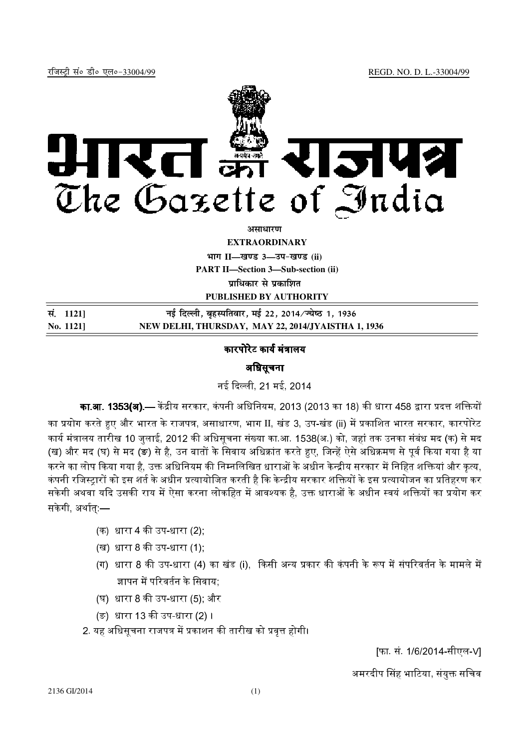

असाधा**र**ण

**EXTRAORDINARY**

**Hkkx II—[k.M 3—mi&[k.M (ii)**

**PART II—Section 3—Sub-section (ii)**

**पाधिकार से पका**शित

**PUBLISHED BY AUTHORITY**

| सं. 11211 | नई दिल्ली, बृहस्पतिवार, मई 22, 2014/ज्येष्ठ 1, 1936 |
|-----------|-----------------------------------------------------|
| No. 1121  | NEW DELHI, THURSDAY, MAY 22, 2014/JYAISTHA 1, 1936  |

## कारपोरेट कार्य मंत्रालय

## अधिसूचना

नई दिल्ली, 21 मई, 2014

**का.आ. 1353(अ).**— केंद्रीय सरकार, कंपनी अधिनियम, 2013 (2013 का 18) की धारा 458 द्वारा प्रदत्त शक्तियों

का प्रयोग करते हुए और भारत के राजपत्र, असाधारण, भाग II, खंड 3, उप-खंड (ii) में प्रकाशित भारत सरकार, कारपोरेट  $\,$ कार्य मंत्रालय तारीख 10 जलाई, 2012 की अधिसचना संख्या का.आ. 1538(अ.) को. जहां तक उनका संबंध मद (क) से मद (ख) और मद (घ) से मद (ङ) से है, उन बातों के सिवाय अधिक्रांत करते हुए, जिन्हें ऐसे अधिक्रमण से पूर्व किया गया है या करने का लोप किया गया है. उक्त अधिनियम की निम्नलिखित धाराओं के अधीन केन्द्रीय सरकार में निहित शक्तियां और कत्य. कंपनी रजिस्टारों को इस शर्त के अधीन प्रत्यायोजित करती है कि केन्द्रीय सरकार शक्तियों के इस प्रत्यायोजन का प्रतिहरण कर सकेगी अथवा यदि उसकी राय में ऐसा करना लोकहित में आवश्यक है. उक्त धाराओं के अधीन स्वयं शक्तियों का प्रयोग कर <del>।</del> सकेगी, अर्थात $-$ 

- (क) धारा 4 की उप-धारा (2);
- (ख) धारा 8 की उप-धारा (1);
- (ग) धारा 8 की उप-धारा (4) का खंड (i). किसी अन्य प्रकार की कंपनी के रूप में संपरिवर्तन के मामले में ज्ञापन में परिवर्तन के सिवाय;
- (घ) धारा 8 की उप-धारा (5); और
- (ङ) धारा 13 की उप-धारा (2) ।
- $2.$  यह अधिसचना राजपत्र में प्रकाशन की तारीख को प्रवत्त होगी।

[फा. सं. 1/6/2014-सीएल-V]

अमरदीप सिंह भाटिया, संयुक्त सचिव